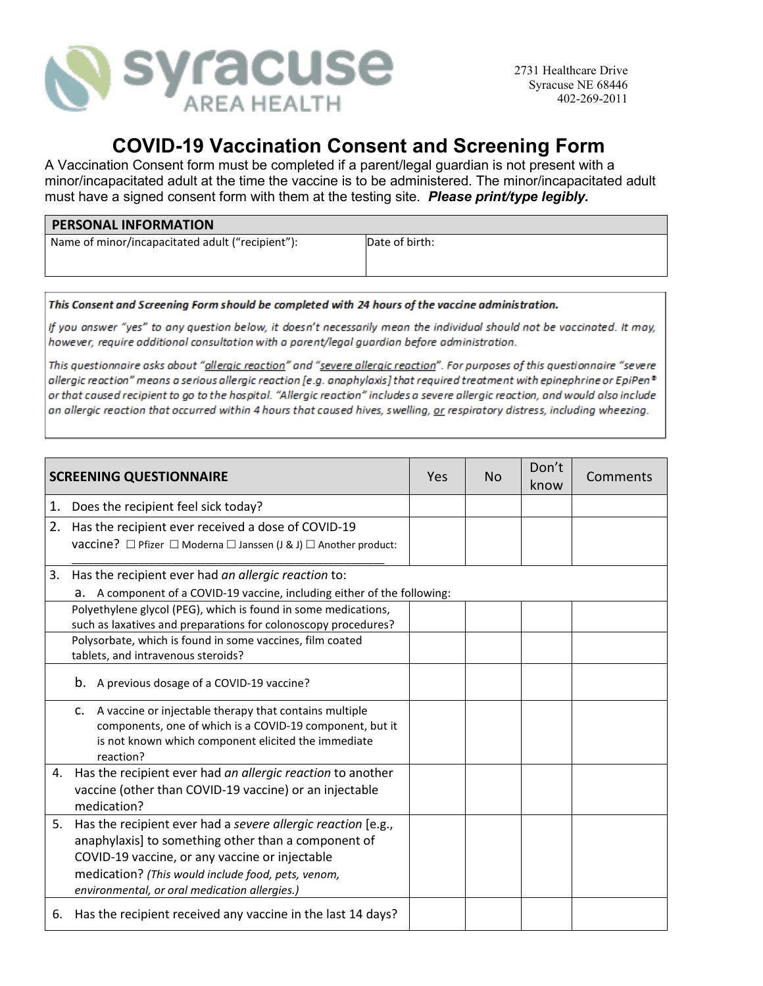

## **COVID-19 Vaccination Consent and Screening Form**

A Vaccination Consent form must be completed if a parent/legal guardian is not present with a minor/incapacitated adult at the time the vaccine is to be administered. The minor/incapacitated adult must have a signed consent form with them at the testing site. *Please print/type legibly.*

| <b>PERSONAL INFORMATION</b>                      |                |  |  |
|--------------------------------------------------|----------------|--|--|
| Name of minor/incapacitated adult ("recipient"): | Date of birth: |  |  |
|                                                  |                |  |  |

This Consent and Screening Form should be completed with 24 hours of the vaccine administration.

If you answer "yes" to any question below, it doesn't necessarily mean the individual should not be vaccinated. It may, however, require additional consultation with a parent/legal quardian before administration.

This questionnaire asks about "allergic reaction" and "severe allergic reaction". For purposes of this questionnaire "severe allergic reaction" means a serious allergic reaction [e.g. anaphylaxis] that required treatment with epinephrine or EpiPen® or that caused recipient to go to the hospital. "Allergic reaction" includes a severe allergic reaction, and would also include an allergic reaction that occurred within 4 hours that caused hives, swelling, or respiratory distress, including wheezing.

| <b>SCREENING QUESTIONNAIRE</b> |                                                                                                                                                                                                                                                                              | <b>Yes</b> | <b>No</b> | Don't<br>know | Comments |
|--------------------------------|------------------------------------------------------------------------------------------------------------------------------------------------------------------------------------------------------------------------------------------------------------------------------|------------|-----------|---------------|----------|
| 1.                             | Does the recipient feel sick today?                                                                                                                                                                                                                                          |            |           |               |          |
| 2.                             | Has the recipient ever received a dose of COVID-19<br>vaccine? □ Pfizer □ Moderna □ Janssen (J & J) □ Another product:                                                                                                                                                       |            |           |               |          |
| 3.                             | Has the recipient ever had an allergic reaction to:<br>A component of a COVID-19 vaccine, including either of the following:<br>a.                                                                                                                                           |            |           |               |          |
|                                | Polyethylene glycol (PEG), which is found in some medications,<br>such as laxatives and preparations for colonoscopy procedures?                                                                                                                                             |            |           |               |          |
|                                | Polysorbate, which is found in some vaccines, film coated<br>tablets, and intravenous steroids?                                                                                                                                                                              |            |           |               |          |
|                                | b.<br>A previous dosage of a COVID-19 vaccine?                                                                                                                                                                                                                               |            |           |               |          |
|                                | A vaccine or injectable therapy that contains multiple<br>c.<br>components, one of which is a COVID-19 component, but it<br>is not known which component elicited the immediate<br>reaction?                                                                                 |            |           |               |          |
| 4.                             | Has the recipient ever had an allergic reaction to another<br>vaccine (other than COVID-19 vaccine) or an injectable<br>medication?                                                                                                                                          |            |           |               |          |
| 5.                             | Has the recipient ever had a severe allergic reaction [e.g.,<br>anaphylaxis] to something other than a component of<br>COVID-19 vaccine, or any vaccine or injectable<br>medication? (This would include food, pets, venom,<br>environmental, or oral medication allergies.) |            |           |               |          |
| 6.                             | Has the recipient received any vaccine in the last 14 days?                                                                                                                                                                                                                  |            |           |               |          |